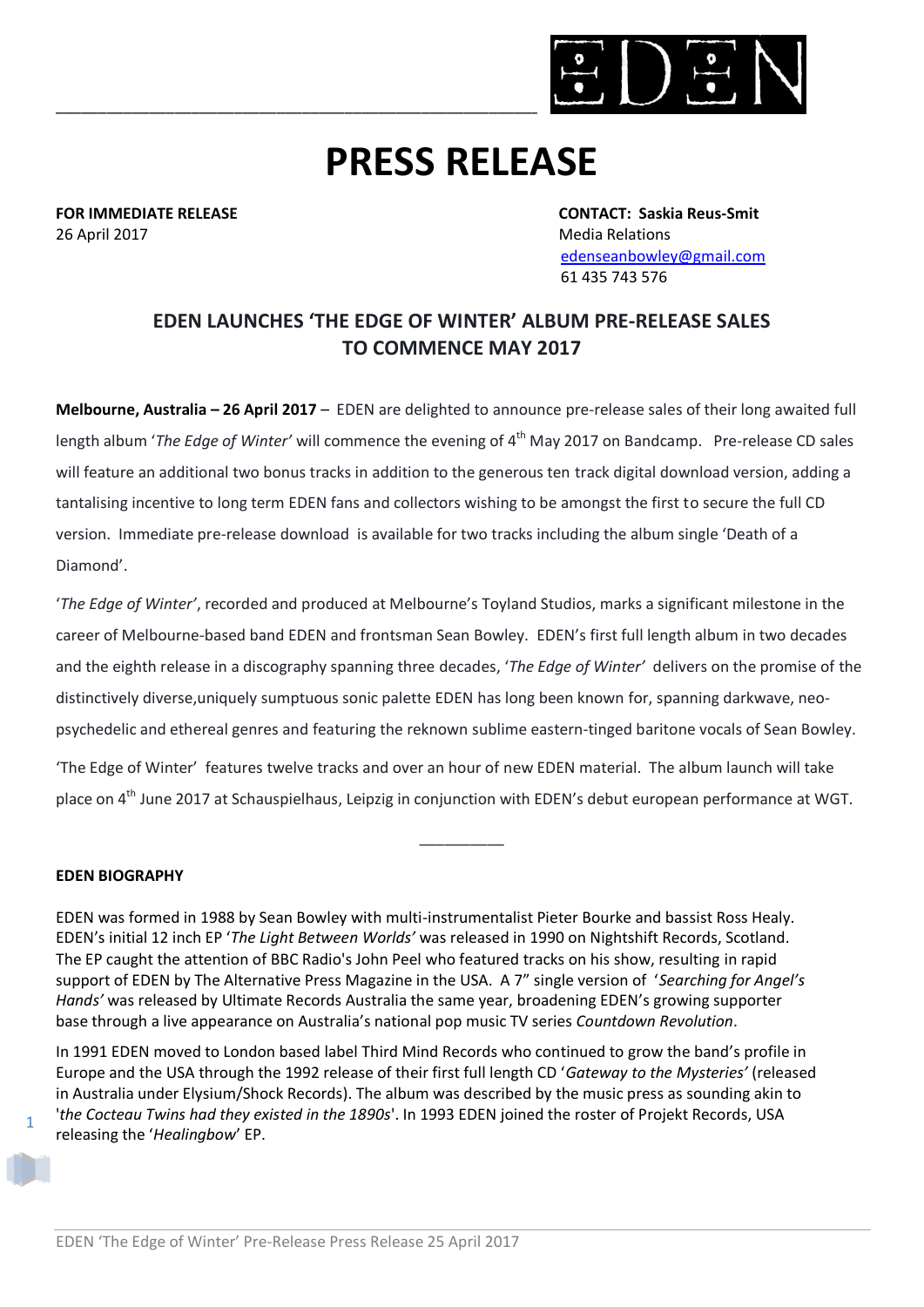

# **PRESS RELEASE**

26 April 2017 **Media Relations** 26 April 2017

**FOR IMMEDIATE RELEASE CONTACT: Saskia Reus-Smit** [edenseanbowley@gmail.com](mailto:edenseanbowley@gmail.com) 61 435 743 576

## **EDEN LAUNCHES 'THE EDGE OF WINTER' ALBUM PRE-RELEASE SALES TO COMMENCE MAY 2017**

**Melbourne, Australia – 26 April 2017** – EDEN are delighted to announce pre-release sales of their long awaited full length album '*The Edge of Winter'* will commence the evening of 4<sup>th</sup> May 2017 on Bandcamp. Pre-release CD sales will feature an additional two bonus tracks in addition to the generous ten track digital download version, adding a tantalising incentive to long term EDEN fans and collectors wishing to be amongst the first to secure the full CD version. Immediate pre-release download is available for two tracks including the album single 'Death of a Diamond'.

'*The Edge of Winter'*, recorded and produced at Melbourne's Toyland Studios, marks a significant milestone in the career of Melbourne-based band EDEN and frontsman Sean Bowley. EDEN's first full length album in two decades and the eighth release in a discography spanning three decades, '*The Edge of Winter'* delivers on the promise of the distinctively diverse,uniquely sumptuous sonic palette EDEN has long been known for, spanning darkwave, neopsychedelic and ethereal genres and featuring the reknown sublime eastern-tinged baritone vocals of Sean Bowley.

'The Edge of Winter' features twelve tracks and over an hour of new EDEN material. The album launch will take place on 4<sup>th</sup> June 2017 at Schauspielhaus, Leipzig in conjunction with EDEN's debut european performance at WGT.

\_\_\_\_\_\_\_\_\_\_

#### **EDEN BIOGRAPHY**

EDEN was formed in 1988 by Sean Bowley with multi-instrumentalist Pieter Bourke and bassist Ross Healy. EDEN's initial 12 inch EP '*The Light Between Worlds'* was released in 1990 on Nightshift Records, Scotland. The EP caught the attention of BBC Radio's John Peel who featured tracks on his show, resulting in rapid support of EDEN by The Alternative Press Magazine in the USA. A 7" single version of '*Searching for Angel's Hands'* was released by Ultimate Records Australia the same year, broadening EDEN's growing supporter base through a live appearance on Australia's national pop music TV series *Countdown Revolution*.

In 1991 EDEN moved to London based label Third Mind Records who continued to grow the band's profile in Europe and the USA through the 1992 release of their first full length CD '*Gateway to the Mysteries'* (released in Australia under Elysium/Shock Records). The album was described by the music press as sounding akin to '*the Cocteau Twins had they existed in the 1890s*'. In 1993 EDEN joined the roster of Projekt Records, USA releasing the '*Healingbow*' EP.